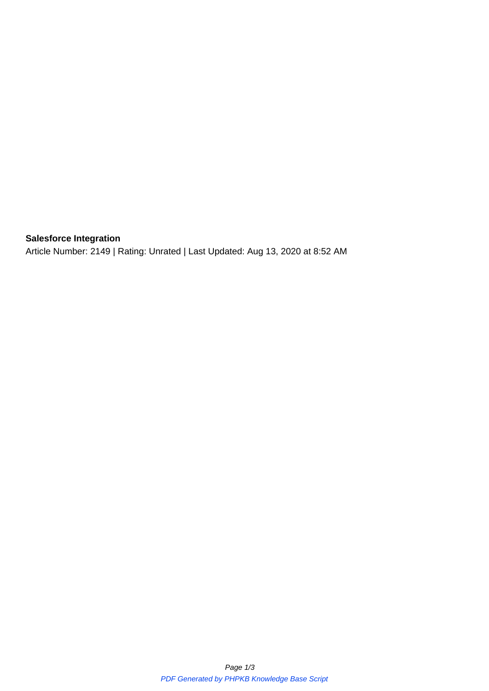## **Salesforce Integration**

Article Number: 2149 | Rating: Unrated | Last Updated: Aug 13, 2020 at 8:52 AM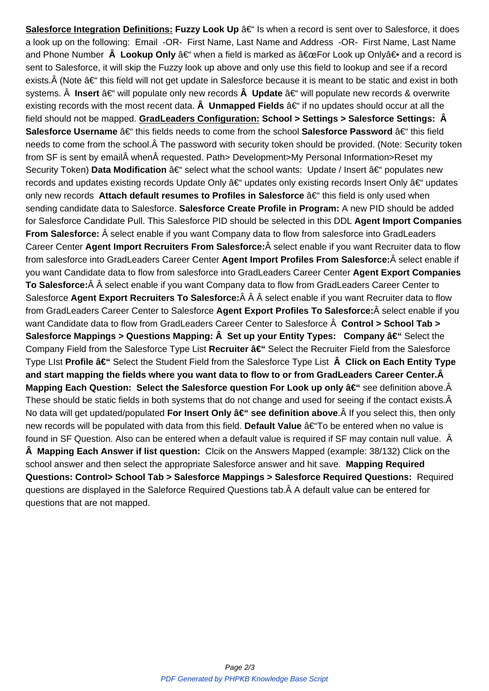a look up on the following: Email -OR- First Name, Last Name and Address -OR- First Name, Last Name and Phone Number  **Lookup Only** – when a field is marked as "For Look up Only― and a record is sent to Salesforce, it will skip the Fuzzy look up above and only use this field to lookup and see if a record exists. $\hat{A}$  (Note  $\hat{a}\in$ " this field will not get update in Salesforce because it is meant to be static and exist in both systems. Insert †will populate only new records Update †will populate new records & overwrite existing records with the most recent data.  **Unmapped Fields** – if no updates should occur at all the field should not be mapped. **GradLeaders Configuration: School > Settings > Salesforce Settings: Â Salesforce Username**  $â€$ " this fields needs to come from the school Salesforce Password  $â€$ " this field needs to come from the school. A The password with security token should be provided. (Note: Security token from SF is sent by email when requested. Path> Development>My Personal Information>Reset my Security Token) **Data Modification** – select what the school wants: Update / Insert – populates new records and updates existing records Update Only  $\hat{a} \in \hat{a}$  updates only existing records Insert Only  $\hat{a} \in \hat{a}$  updates only new records Attach default resumes to Profiles in Salesforce â€<sup>"</sup> this field is only used when sending candidate data to Salesforce. **Salesforce Create Profile in Program:** A new PID should be added for Salesforce Candidate Pull. This Salesforce PID should be selected in this DDL **Agent Import Companies From Salesforce:** Â select enable if you want Company data to flow from salesforce into GradLeaders Career Center Agent Import Recruiters From Salesforce: Â select enable if you want Recruiter data to flow from salesforce into GradLeaders Career Center Agent Import Profiles From Salesforce: Â select enable if you want Candidate data to flow from salesforce into GradLeaders Career Center **Agent Export Companies** To Salesforce:  $\hat{A}$   $\hat{A}$  select enable if you want Company data to flow from GradLeaders Career Center to Salesforce Agent Export Recruiters To Salesforce: Â Â Â select enable if you want Recruiter data to flow from GradLeaders Career Center to Salesforce Agent Export Profiles To Salesforce: Â select enable if you want Candidate data to flow from GradLeaders Career Center to Salesforce  $\hat{A}$  Control > School Tab > **Salesforce Mappings > Questions Mapping: Set up your Entity Types: Company †Select the** Company Field from the Salesforce Type List Recruiter  $\hat{a}€$ "Select the Recruiter Field from the Salesforce Type LIst **Profile â€**"Select the Student Field from the Salesforce Type List  **Click on Each Entity Type and start mapping the fields where you want data to flow to or from GradLeaders Career Center. Mapping Each Question: Select the Salesforce question For Look up only †see definition above.Â** These should be static fields in both systems that do not change and used for seeing if the contact exists.Â No data will get updated/populated **For Insert Only â€**" see definition above If you select this, then only new records will be populated with data from this field. Default Value †To be entered when no value is found in SF Question. Also can be entered when a default value is required if SF may contain null value.  **Mapping Each Answer if list question:** Clcik on the Answers Mapped (example: 38/132) Click on the school answer and then select the appropriate Salesforce answer and hit save. **Mapping Required Questions: Control> School Tab > Salesforce Mappings > Salesforce Required Questions:** Required questions are displayed in the Saleforce Required Questions tab. A default value can be entered for questions that are not mapped.